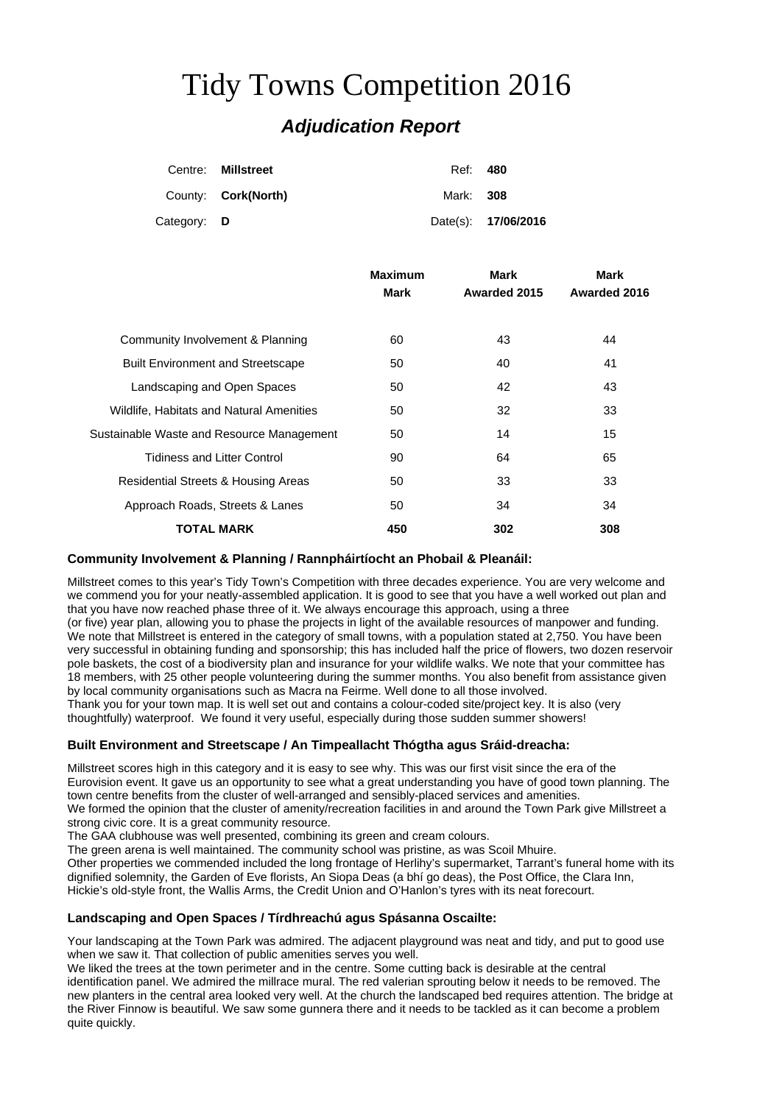# Tidy Towns Competition 2016

# *Adjudication Report*

|             | Centre: Millstreet         | Ref: 480  |                     |
|-------------|----------------------------|-----------|---------------------|
|             | County: <b>Cork(North)</b> | Mark: 308 |                     |
| Category: D |                            |           | Date(s): 17/06/2016 |

| <b>Maximum</b><br>Mark | Mark<br>Awarded 2015 | Mark<br>Awarded 2016 |
|------------------------|----------------------|----------------------|
|                        |                      |                      |
| 60                     | 43                   | 44                   |
| 50                     | 40                   | 41                   |
| 50                     | 42                   | 43                   |
| 50                     | 32                   | 33                   |
| 50                     | 14                   | 15                   |
| 90                     | 64                   | 65                   |
| 50                     | 33                   | 33                   |
| 50                     | 34                   | 34                   |
| 450                    | 302                  | 308                  |
|                        |                      |                      |

# **Community Involvement & Planning / Rannpháirtíocht an Phobail & Pleanáil:**

Millstreet comes to this year's Tidy Town's Competition with three decades experience. You are very welcome and we commend you for your neatly-assembled application. It is good to see that you have a well worked out plan and that you have now reached phase three of it. We always encourage this approach, using a three

(or five) year plan, allowing you to phase the projects in light of the available resources of manpower and funding. We note that Millstreet is entered in the category of small towns, with a population stated at 2,750. You have been very successful in obtaining funding and sponsorship; this has included half the price of flowers, two dozen reservoir pole baskets, the cost of a biodiversity plan and insurance for your wildlife walks. We note that your committee has 18 members, with 25 other people volunteering during the summer months. You also benefit from assistance given by local community organisations such as Macra na Feirme. Well done to all those involved.

Thank you for your town map. It is well set out and contains a colour-coded site/project key. It is also (very thoughtfully) waterproof. We found it very useful, especially during those sudden summer showers!

# **Built Environment and Streetscape / An Timpeallacht Thógtha agus Sráid-dreacha:**

Millstreet scores high in this category and it is easy to see why. This was our first visit since the era of the Eurovision event. It gave us an opportunity to see what a great understanding you have of good town planning. The town centre benefits from the cluster of well-arranged and sensibly-placed services and amenities. We formed the opinion that the cluster of amenity/recreation facilities in and around the Town Park give Millstreet a

strong civic core. It is a great community resource. The GAA clubhouse was well presented, combining its green and cream colours.

The green arena is well maintained. The community school was pristine, as was Scoil Mhuire.

Other properties we commended included the long frontage of Herlihy's supermarket, Tarrant's funeral home with its dignified solemnity, the Garden of Eve florists, An Siopa Deas (a bhí go deas), the Post Office, the Clara Inn, Hickie's old-style front, the Wallis Arms, the Credit Union and O'Hanlon's tyres with its neat forecourt.

# **Landscaping and Open Spaces / Tírdhreachú agus Spásanna Oscailte:**

Your landscaping at the Town Park was admired. The adjacent playground was neat and tidy, and put to good use when we saw it. That collection of public amenities serves you well.

We liked the trees at the town perimeter and in the centre. Some cutting back is desirable at the central identification panel. We admired the millrace mural. The red valerian sprouting below it needs to be removed. The new planters in the central area looked very well. At the church the landscaped bed requires attention. The bridge at the River Finnow is beautiful. We saw some gunnera there and it needs to be tackled as it can become a problem quite quickly.